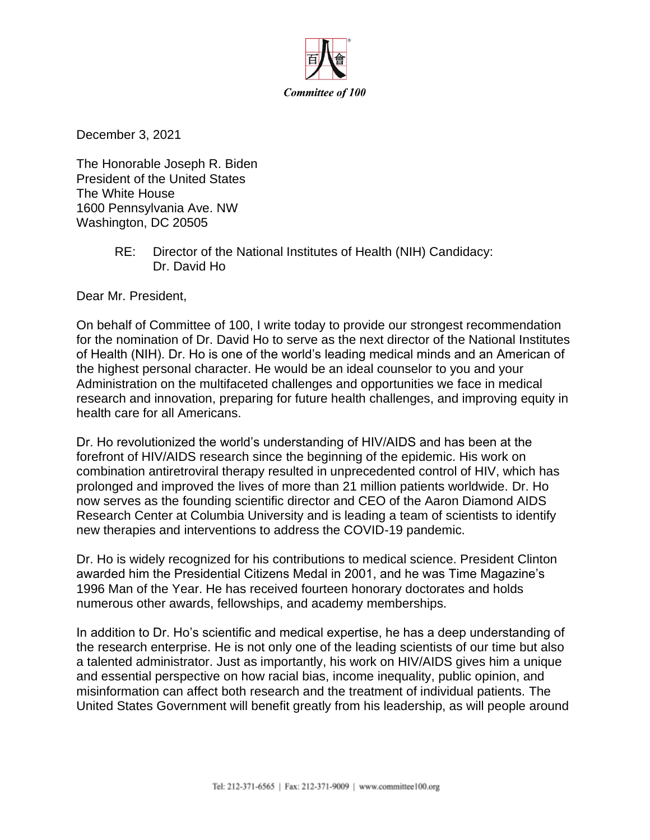

December 3, 2021

The Honorable Joseph R. Biden President of the United States The White House 1600 Pennsylvania Ave. NW Washington, DC 20505

> RE: Director of the National Institutes of Health (NIH) Candidacy: Dr. David Ho

Dear Mr. President,

On behalf of Committee of 100, I write today to provide our strongest recommendation for the nomination of Dr. David Ho to serve as the next director of the National Institutes of Health (NIH). Dr. Ho is one of the world's leading medical minds and an American of the highest personal character. He would be an ideal counselor to you and your Administration on the multifaceted challenges and opportunities we face in medical research and innovation, preparing for future health challenges, and improving equity in health care for all Americans.

Dr. Ho revolutionized the world's understanding of HIV/AIDS and has been at the forefront of HIV/AIDS research since the beginning of the epidemic. His work on combination antiretroviral therapy resulted in unprecedented control of HIV, which has prolonged and improved the lives of more than 21 million patients worldwide. Dr. Ho now serves as the founding scientific director and CEO of the Aaron Diamond AIDS Research Center at Columbia University and is leading a team of scientists to identify new therapies and interventions to address the COVID-19 pandemic.

Dr. Ho is widely recognized for his contributions to medical science. President Clinton awarded him the Presidential Citizens Medal in 2001, and he was Time Magazine's 1996 Man of the Year. He has received fourteen honorary doctorates and holds numerous other awards, fellowships, and academy memberships.

In addition to Dr. Ho's scientific and medical expertise, he has a deep understanding of the research enterprise. He is not only one of the leading scientists of our time but also a talented administrator. Just as importantly, his work on HIV/AIDS gives him a unique and essential perspective on how racial bias, income inequality, public opinion, and misinformation can affect both research and the treatment of individual patients. The United States Government will benefit greatly from his leadership, as will people around